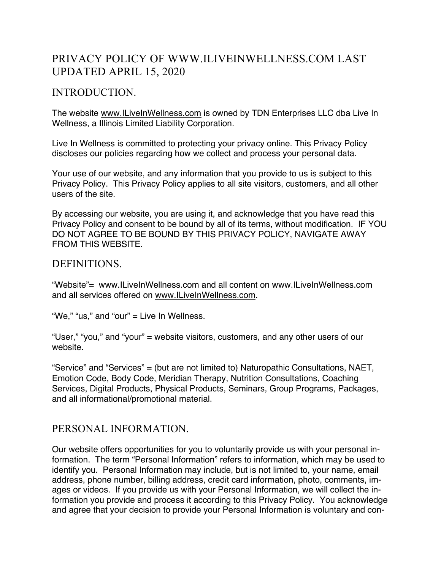# PRIVACY POLICY OF WWW.ILIVEINWELLNESS.COM LAST UPDATED APRIL 15, 2020

## INTRODUCTION.

The website www.ILiveInWellness.com is owned by TDN Enterprises LLC dba Live In Wellness, a Illinois Limited Liability Corporation.

Live In Wellness is committed to protecting your privacy online. This Privacy Policy discloses our policies regarding how we collect and process your personal data.

Your use of our website, and any information that you provide to us is subject to this Privacy Policy. This Privacy Policy applies to all site visitors, customers, and all other users of the site.

By accessing our website, you are using it, and acknowledge that you have read this Privacy Policy and consent to be bound by all of its terms, without modification. IF YOU DO NOT AGREE TO BE BOUND BY THIS PRIVACY POLICY, NAVIGATE AWAY FROM THIS WEBSITE.

#### DEFINITIONS.

"Website"= www.ILiveInWellness.com and all content on www.ILiveInWellness.com and all services offered on www.ILiveInWellness.com.

"We," "us," and "our" = Live In Wellness.

"User," "you," and "your" = website visitors, customers, and any other users of our website.

"Service" and "Services" = (but are not limited to) Naturopathic Consultations, NAET, Emotion Code, Body Code, Meridian Therapy, Nutrition Consultations, Coaching Services, Digital Products, Physical Products, Seminars, Group Programs, Packages, and all informational/promotional material.

### PERSONAL INFORMATION.

Our website offers opportunities for you to voluntarily provide us with your personal information. The term "Personal Information" refers to information, which may be used to identify you. Personal Information may include, but is not limited to, your name, email address, phone number, billing address, credit card information, photo, comments, images or videos. If you provide us with your Personal Information, we will collect the information you provide and process it according to this Privacy Policy. You acknowledge and agree that your decision to provide your Personal Information is voluntary and con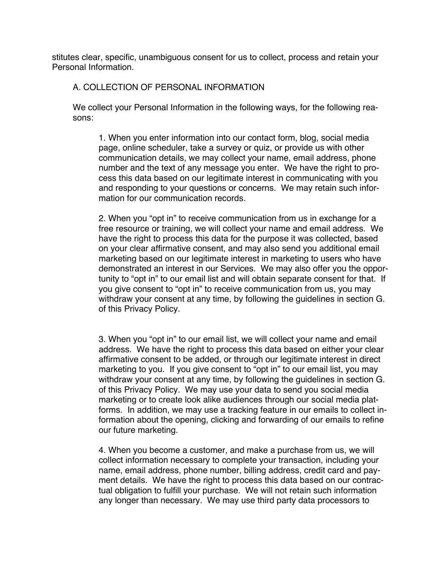stitutes clear, specific, unambiguous consent for us to collect, process and retain your Personal Information.

#### A. COLLECTION OF PERSONAL INFORMATION

We collect your Personal Information in the following ways, for the following reasons:

1. When you enter information into our contact form, blog, social media page, online scheduler, take a survey or quiz, or provide us with other communication details, we may collect your name, email address, phone number and the text of any message you enter. We have the right to process this data based on our legitimate interest in communicating with you and responding to your questions or concerns. We may retain such information for our communication records.

2. When you "opt in" to receive communication from us in exchange for a free resource or training, we will collect your name and email address. We have the right to process this data for the purpose it was collected, based on your clear affirmative consent, and may also send you additional email marketing based on our legitimate interest in marketing to users who have demonstrated an interest in our Services. We may also offer you the opportunity to "opt in" to our email list and will obtain separate consent for that. If you give consent to "opt in" to receive communication from us, you may withdraw your consent at any time, by following the guidelines in section G. of this Privacy Policy.

3. When you "opt in" to our email list, we will collect your name and email address. We have the right to process this data based on either your clear affirmative consent to be added, or through our legitimate interest in direct marketing to you. If you give consent to "opt in" to our email list, you may withdraw your consent at any time, by following the guidelines in section G. of this Privacy Policy. We may use your data to send you social media marketing or to create look alike audiences through our social media platforms. In addition, we may use a tracking feature in our emails to collect information about the opening, clicking and forwarding of our emails to refine our future marketing.

4. When you become a customer, and make a purchase from us, we will collect information necessary to complete your transaction, including your name, email address, phone number, billing address, credit card and payment details. We have the right to process this data based on our contractual obligation to fulfill your purchase. We will not retain such information any longer than necessary. We may use third party data processors to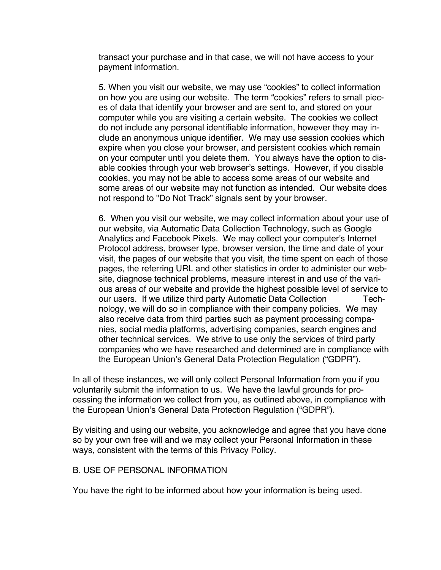transact your purchase and in that case, we will not have access to your payment information.

5. When you visit our website, we may use "cookies" to collect information on how you are using our website. The term "cookies" refers to small pieces of data that identify your browser and are sent to, and stored on your computer while you are visiting a certain website. The cookies we collect do not include any personal identifiable information, however they may include an anonymous unique identifier. We may use session cookies which expire when you close your browser, and persistent cookies which remain on your computer until you delete them. You always have the option to disable cookies through your web browser's settings. However, if you disable cookies, you may not be able to access some areas of our website and some areas of our website may not function as intended. Our website does not respond to "Do Not Track" signals sent by your browser.

6. When you visit our website, we may collect information about your use of our website, via Automatic Data Collection Technology, such as Google Analytics and Facebook Pixels. We may collect your computer's Internet Protocol address, browser type, browser version, the time and date of your visit, the pages of our website that you visit, the time spent on each of those pages, the referring URL and other statistics in order to administer our website, diagnose technical problems, measure interest in and use of the various areas of our website and provide the highest possible level of service to our users. If we utilize third party Automatic Data Collection Technology, we will do so in compliance with their company policies. We may also receive data from third parties such as payment processing companies, social media platforms, advertising companies, search engines and other technical services. We strive to use only the services of third party companies who we have researched and determined are in compliance with the European Union's General Data Protection Regulation ("GDPR").

In all of these instances, we will only collect Personal Information from you if you voluntarily submit the information to us. We have the lawful grounds for processing the information we collect from you, as outlined above, in compliance with the European Union's General Data Protection Regulation ("GDPR").

By visiting and using our website, you acknowledge and agree that you have done so by your own free will and we may collect your Personal Information in these ways, consistent with the terms of this Privacy Policy.

#### B. USE OF PERSONAL INFORMATION

You have the right to be informed about how your information is being used.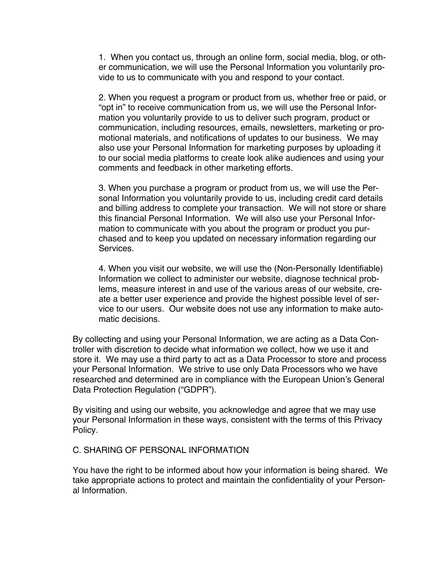1. When you contact us, through an online form, social media, blog, or other communication, we will use the Personal Information you voluntarily provide to us to communicate with you and respond to your contact.

2. When you request a program or product from us, whether free or paid, or "opt in" to receive communication from us, we will use the Personal Information you voluntarily provide to us to deliver such program, product or communication, including resources, emails, newsletters, marketing or promotional materials, and notifications of updates to our business. We may also use your Personal Information for marketing purposes by uploading it to our social media platforms to create look alike audiences and using your comments and feedback in other marketing efforts.

3. When you purchase a program or product from us, we will use the Personal Information you voluntarily provide to us, including credit card details and billing address to complete your transaction. We will not store or share this financial Personal Information. We will also use your Personal Information to communicate with you about the program or product you purchased and to keep you updated on necessary information regarding our Services.

4. When you visit our website, we will use the (Non-Personally Identifiable) Information we collect to administer our website, diagnose technical problems, measure interest in and use of the various areas of our website, create a better user experience and provide the highest possible level of service to our users. Our website does not use any information to make automatic decisions.

By collecting and using your Personal Information, we are acting as a Data Controller with discretion to decide what information we collect, how we use it and store it. We may use a third party to act as a Data Processor to store and process your Personal Information. We strive to use only Data Processors who we have researched and determined are in compliance with the European Union's General Data Protection Regulation ("GDPR").

By visiting and using our website, you acknowledge and agree that we may use your Personal Information in these ways, consistent with the terms of this Privacy Policy.

#### C. SHARING OF PERSONAL INFORMATION

You have the right to be informed about how your information is being shared. We take appropriate actions to protect and maintain the confidentiality of your Personal Information.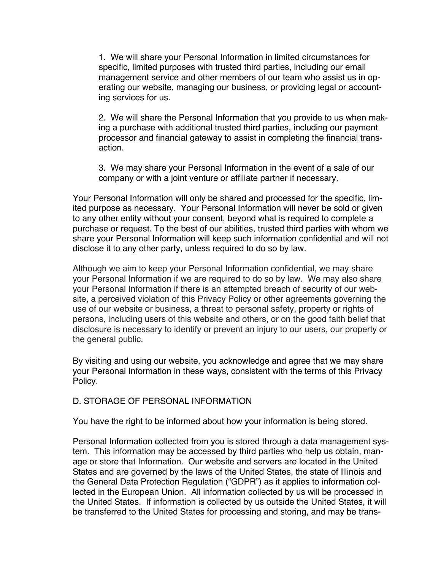1. We will share your Personal Information in limited circumstances for specific, limited purposes with trusted third parties, including our email management service and other members of our team who assist us in operating our website, managing our business, or providing legal or accounting services for us.

2. We will share the Personal Information that you provide to us when making a purchase with additional trusted third parties, including our payment processor and financial gateway to assist in completing the financial transaction.

3. We may share your Personal Information in the event of a sale of our company or with a joint venture or affiliate partner if necessary.

Your Personal Information will only be shared and processed for the specific, limited purpose as necessary. Your Personal Information will never be sold or given to any other entity without your consent, beyond what is required to complete a purchase or request. To the best of our abilities, trusted third parties with whom we share your Personal Information will keep such information confidential and will not disclose it to any other party, unless required to do so by law.

Although we aim to keep your Personal Information confidential, we may share your Personal Information if we are required to do so by law. We may also share your Personal Information if there is an attempted breach of security of our website, a perceived violation of this Privacy Policy or other agreements governing the use of our website or business, a threat to personal safety, property or rights of persons, including users of this website and others, or on the good faith belief that disclosure is necessary to identify or prevent an injury to our users, our property or the general public.

By visiting and using our website, you acknowledge and agree that we may share your Personal Information in these ways, consistent with the terms of this Privacy Policy.

#### D. STORAGE OF PERSONAL INFORMATION

You have the right to be informed about how your information is being stored.

Personal Information collected from you is stored through a data management system. This information may be accessed by third parties who help us obtain, manage or store that Information. Our website and servers are located in the United States and are governed by the laws of the United States, the state of Illinois and the General Data Protection Regulation ("GDPR") as it applies to information collected in the European Union. All information collected by us will be processed in the United States. If information is collected by us outside the United States, it will be transferred to the United States for processing and storing, and may be trans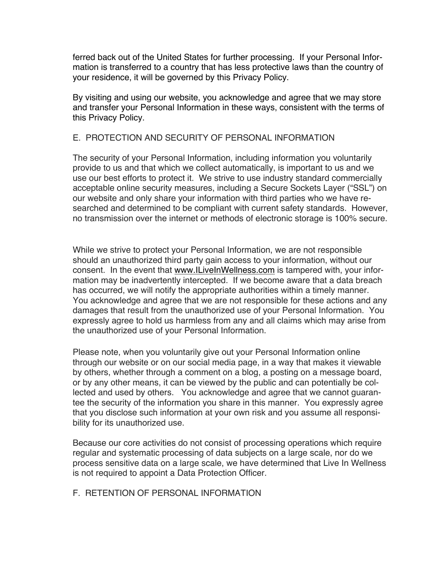ferred back out of the United States for further processing. If your Personal Information is transferred to a country that has less protective laws than the country of your residence, it will be governed by this Privacy Policy.

By visiting and using our website, you acknowledge and agree that we may store and transfer your Personal Information in these ways, consistent with the terms of this Privacy Policy.

#### E. PROTECTION AND SECURITY OF PERSONAL INFORMATION

The security of your Personal Information, including information you voluntarily provide to us and that which we collect automatically, is important to us and we use our best efforts to protect it. We strive to use industry standard commercially acceptable online security measures, including a Secure Sockets Layer ("SSL") on our website and only share your information with third parties who we have researched and determined to be compliant with current safety standards. However, no transmission over the internet or methods of electronic storage is 100% secure.

While we strive to protect your Personal Information, we are not responsible should an unauthorized third party gain access to your information, without our consent. In the event that www.ILiveInWellness.com is tampered with, your information may be inadvertently intercepted. If we become aware that a data breach has occurred, we will notify the appropriate authorities within a timely manner. You acknowledge and agree that we are not responsible for these actions and any damages that result from the unauthorized use of your Personal Information. You expressly agree to hold us harmless from any and all claims which may arise from the unauthorized use of your Personal Information.

Please note, when you voluntarily give out your Personal Information online through our website or on our social media page, in a way that makes it viewable by others, whether through a comment on a blog, a posting on a message board, or by any other means, it can be viewed by the public and can potentially be collected and used by others. You acknowledge and agree that we cannot guarantee the security of the information you share in this manner. You expressly agree that you disclose such information at your own risk and you assume all responsibility for its unauthorized use.

Because our core activities do not consist of processing operations which require regular and systematic processing of data subjects on a large scale, nor do we process sensitive data on a large scale, we have determined that Live In Wellness is not required to appoint a Data Protection Officer.

#### F. RETENTION OF PERSONAL INFORMATION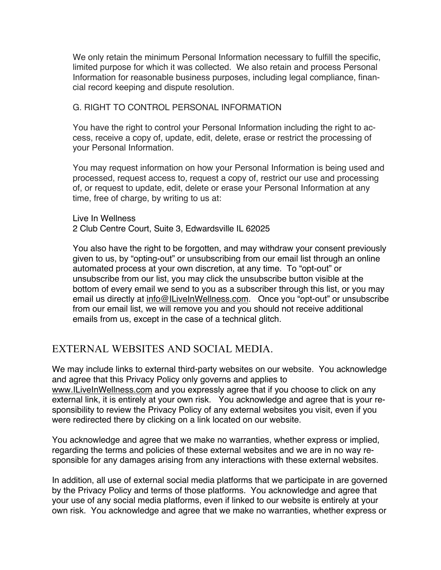We only retain the minimum Personal Information necessary to fulfill the specific. limited purpose for which it was collected. We also retain and process Personal Information for reasonable business purposes, including legal compliance, financial record keeping and dispute resolution.

#### G. RIGHT TO CONTROL PERSONAL INFORMATION

You have the right to control your Personal Information including the right to access, receive a copy of, update, edit, delete, erase or restrict the processing of your Personal Information.

You may request information on how your Personal Information is being used and processed, request access to, request a copy of, restrict our use and processing of, or request to update, edit, delete or erase your Personal Information at any time, free of charge, by writing to us at:

Live In Wellness 2 Club Centre Court, Suite 3, Edwardsville IL 62025

You also have the right to be forgotten, and may withdraw your consent previously given to us, by "opting-out" or unsubscribing from our email list through an online automated process at your own discretion, at any time. To "opt-out" or unsubscribe from our list, you may click the unsubscribe button visible at the bottom of every email we send to you as a subscriber through this list, or you may email us directly at info@ILiveInWellness.com. Once you "opt-out" or unsubscribe from our email list, we will remove you and you should not receive additional emails from us, except in the case of a technical glitch.

### EXTERNAL WEBSITES AND SOCIAL MEDIA.

We may include links to external third-party websites on our website. You acknowledge and agree that this Privacy Policy only governs and applies to www.ILiveInWellness.com and you expressly agree that if you choose to click on any external link, it is entirely at your own risk. You acknowledge and agree that is your responsibility to review the Privacy Policy of any external websites you visit, even if you were redirected there by clicking on a link located on our website.

You acknowledge and agree that we make no warranties, whether express or implied, regarding the terms and policies of these external websites and we are in no way responsible for any damages arising from any interactions with these external websites.

In addition, all use of external social media platforms that we participate in are governed by the Privacy Policy and terms of those platforms. You acknowledge and agree that your use of any social media platforms, even if linked to our website is entirely at your own risk. You acknowledge and agree that we make no warranties, whether express or